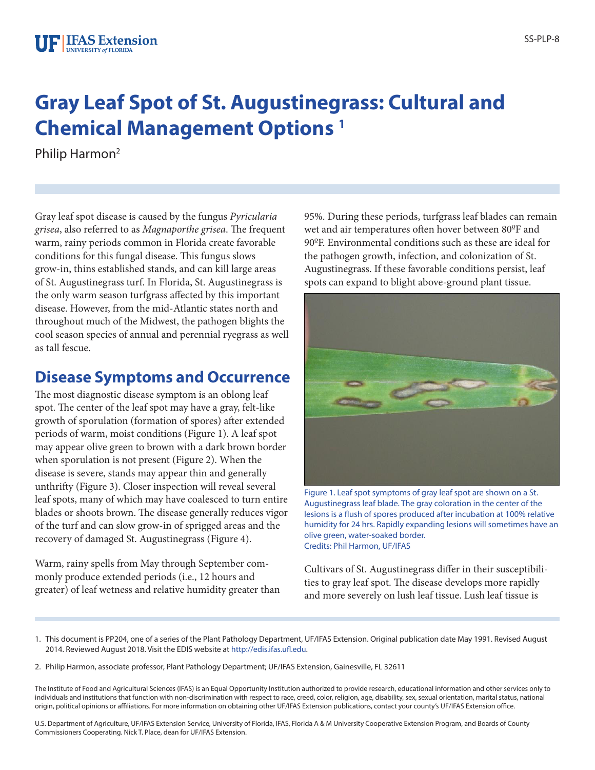# **Gray Leaf Spot of St. Augustinegrass: Cultural and Chemical Management Options 1**

Philip Harmon<sup>2</sup>

Gray leaf spot disease is caused by the fungus *Pyricularia grisea*, also referred to as *Magnaporthe grisea*. The frequent warm, rainy periods common in Florida create favorable conditions for this fungal disease. This fungus slows grow-in, thins established stands, and can kill large areas of St. Augustinegrass turf. In Florida, St. Augustinegrass is the only warm season turfgrass affected by this important disease. However, from the mid-Atlantic states north and throughout much of the Midwest, the pathogen blights the cool season species of annual and perennial ryegrass as well as tall fescue.

### **Disease Symptoms and Occurrence**

The most diagnostic disease symptom is an oblong leaf spot. The center of the leaf spot may have a gray, felt-like growth of sporulation (formation of spores) after extended periods of warm, moist conditions (Figure 1). A leaf spot may appear olive green to brown with a dark brown border when sporulation is not present (Figure 2). When the disease is severe, stands may appear thin and generally unthrifty (Figure 3). Closer inspection will reveal several leaf spots, many of which may have coalesced to turn entire blades or shoots brown. The disease generally reduces vigor of the turf and can slow grow-in of sprigged areas and the recovery of damaged St. Augustinegrass (Figure 4).

Warm, rainy spells from May through September commonly produce extended periods (i.e., 12 hours and greater) of leaf wetness and relative humidity greater than 95%. During these periods, turfgrass leaf blades can remain wet and air temperatures often hover between 80ºF and 90ºF. Environmental conditions such as these are ideal for the pathogen growth, infection, and colonization of St. Augustinegrass. If these favorable conditions persist, leaf spots can expand to blight above-ground plant tissue.



Figure 1. Leaf spot symptoms of gray leaf spot are shown on a St. Augustinegrass leaf blade. The gray coloration in the center of the lesions is a flush of spores produced after incubation at 100% relative humidity for 24 hrs. Rapidly expanding lesions will sometimes have an olive green, water-soaked border. Credits: Phil Harmon, UF/IFAS

Cultivars of St. Augustinegrass differ in their susceptibilities to gray leaf spot. The disease develops more rapidly and more severely on lush leaf tissue. Lush leaf tissue is

2. Philip Harmon, associate professor, Plant Pathology Department; UF/IFAS Extension, Gainesville, FL 32611

The Institute of Food and Agricultural Sciences (IFAS) is an Equal Opportunity Institution authorized to provide research, educational information and other services only to individuals and institutions that function with non-discrimination with respect to race, creed, color, religion, age, disability, sex, sexual orientation, marital status, national origin, political opinions or affiliations. For more information on obtaining other UF/IFAS Extension publications, contact your county's UF/IFAS Extension office.

U.S. Department of Agriculture, UF/IFAS Extension Service, University of Florida, IFAS, Florida A & M University Cooperative Extension Program, and Boards of County Commissioners Cooperating. Nick T. Place, dean for UF/IFAS Extension.

<sup>1.</sup> This document is PP204, one of a series of the Plant Pathology Department, UF/IFAS Extension. Original publication date May 1991. Revised August 2014. Reviewed August 2018. Visit the EDIS website at http://edis.ifas.ufl.edu.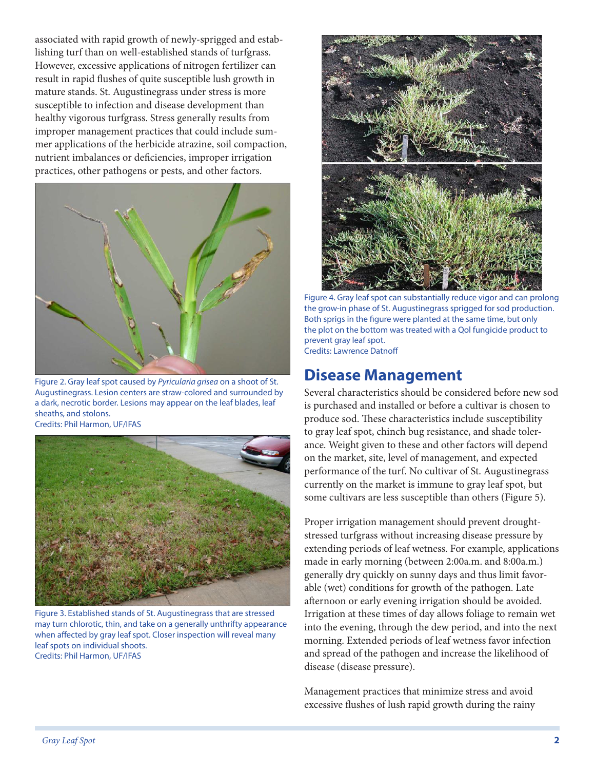associated with rapid growth of newly-sprigged and establishing turf than on well-established stands of turfgrass. However, excessive applications of nitrogen fertilizer can result in rapid flushes of quite susceptible lush growth in mature stands. St. Augustinegrass under stress is more susceptible to infection and disease development than healthy vigorous turfgrass. Stress generally results from improper management practices that could include summer applications of the herbicide atrazine, soil compaction, nutrient imbalances or deficiencies, improper irrigation practices, other pathogens or pests, and other factors.



Figure 2. Gray leaf spot caused by *Pyricularia grisea* on a shoot of St. Augustinegrass. Lesion centers are straw-colored and surrounded by a dark, necrotic border. Lesions may appear on the leaf blades, leaf sheaths, and stolons.

Credits: Phil Harmon, UF/IFAS



Figure 3. Established stands of St. Augustinegrass that are stressed may turn chlorotic, thin, and take on a generally unthrifty appearance when affected by gray leaf spot. Closer inspection will reveal many leaf spots on individual shoots. Credits: Phil Harmon, UF/IFAS



Figure 4. Gray leaf spot can substantially reduce vigor and can prolong the grow-in phase of St. Augustinegrass sprigged for sod production. Both sprigs in the figure were planted at the same time, but only the plot on the bottom was treated with a Qol fungicide product to prevent gray leaf spot. Credits: Lawrence Datnoff

## **Disease Management**

Several characteristics should be considered before new sod is purchased and installed or before a cultivar is chosen to produce sod. These characteristics include susceptibility to gray leaf spot, chinch bug resistance, and shade tolerance. Weight given to these and other factors will depend on the market, site, level of management, and expected performance of the turf. No cultivar of St. Augustinegrass currently on the market is immune to gray leaf spot, but some cultivars are less susceptible than others (Figure 5).

Proper irrigation management should prevent droughtstressed turfgrass without increasing disease pressure by extending periods of leaf wetness. For example, applications made in early morning (between 2:00a.m. and 8:00a.m.) generally dry quickly on sunny days and thus limit favorable (wet) conditions for growth of the pathogen. Late afternoon or early evening irrigation should be avoided. Irrigation at these times of day allows foliage to remain wet into the evening, through the dew period, and into the next morning. Extended periods of leaf wetness favor infection and spread of the pathogen and increase the likelihood of disease (disease pressure).

Management practices that minimize stress and avoid excessive flushes of lush rapid growth during the rainy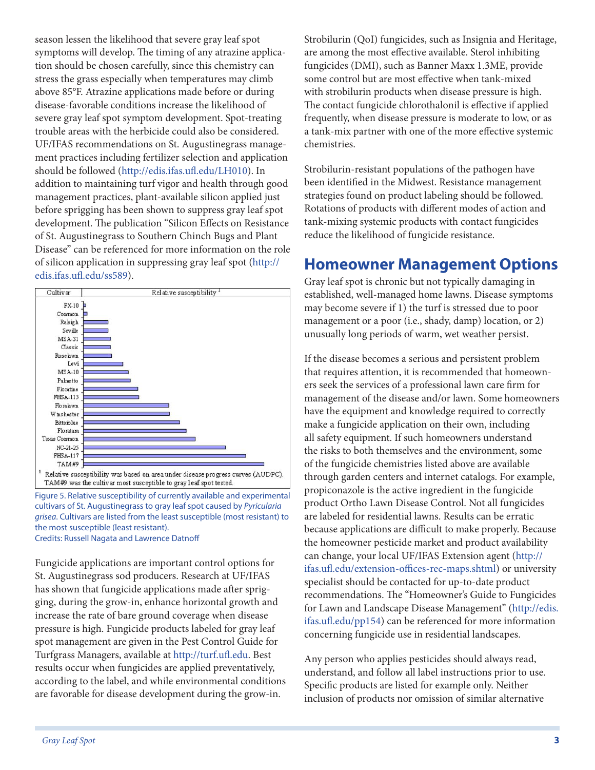season lessen the likelihood that severe gray leaf spot symptoms will develop. The timing of any atrazine application should be chosen carefully, since this chemistry can stress the grass especially when temperatures may climb above 85°F. Atrazine applications made before or during disease-favorable conditions increase the likelihood of severe gray leaf spot symptom development. Spot-treating trouble areas with the herbicide could also be considered. UF/IFAS recommendations on St. Augustinegrass management practices including fertilizer selection and application should be followed (http://edis.ifas.ufl.edu/LH010). In addition to maintaining turf vigor and health through good management practices, plant-available silicon applied just before sprigging has been shown to suppress gray leaf spot development. The publication "Silicon Effects on Resistance of St. Augustinegrass to Southern Chinch Bugs and Plant Disease" can be referenced for more information on the role of silicon application in suppressing gray leaf spot (http:// edis.ifas.ufl.edu/ss589).



Figure 5. Relative susceptibility of currently available and experimental cultivars of St. Augustinegrass to gray leaf spot caused by *Pyricularia grisea*. Cultivars are listed from the least susceptible (most resistant) to the most susceptible (least resistant). Credits: Russell Nagata and Lawrence Datnoff

Fungicide applications are important control options for St. Augustinegrass sod producers. Research at UF/IFAS has shown that fungicide applications made after sprigging, during the grow-in, enhance horizontal growth and increase the rate of bare ground coverage when disease pressure is high. Fungicide products labeled for gray leaf spot management are given in the Pest Control Guide for Turfgrass Managers, available at http://turf.ufl.edu. Best results occur when fungicides are applied preventatively, according to the label, and while environmental conditions are favorable for disease development during the grow-in.

Strobilurin (QoI) fungicides, such as Insignia and Heritage, are among the most effective available. Sterol inhibiting fungicides (DMI), such as Banner Maxx 1.3ME, provide some control but are most effective when tank-mixed with strobilurin products when disease pressure is high. The contact fungicide chlorothalonil is effective if applied frequently, when disease pressure is moderate to low, or as a tank-mix partner with one of the more effective systemic chemistries.

Strobilurin-resistant populations of the pathogen have been identified in the Midwest. Resistance management strategies found on product labeling should be followed. Rotations of products with different modes of action and tank-mixing systemic products with contact fungicides reduce the likelihood of fungicide resistance.

#### **Homeowner Management Options**

Gray leaf spot is chronic but not typically damaging in established, well-managed home lawns. Disease symptoms may become severe if 1) the turf is stressed due to poor management or a poor (i.e., shady, damp) location, or 2) unusually long periods of warm, wet weather persist.

If the disease becomes a serious and persistent problem that requires attention, it is recommended that homeowners seek the services of a professional lawn care firm for management of the disease and/or lawn. Some homeowners have the equipment and knowledge required to correctly make a fungicide application on their own, including all safety equipment. If such homeowners understand the risks to both themselves and the environment, some of the fungicide chemistries listed above are available through garden centers and internet catalogs. For example, propiconazole is the active ingredient in the fungicide product Ortho Lawn Disease Control. Not all fungicides are labeled for residential lawns. Results can be erratic because applications are difficult to make properly. Because the homeowner pesticide market and product availability can change, your local UF/IFAS Extension agent (http:// ifas.ufl.edu/extension-offices-rec-maps.shtml) or university specialist should be contacted for up-to-date product recommendations. The "Homeowner's Guide to Fungicides for Lawn and Landscape Disease Management" (http://edis. ifas.ufl.edu/pp154) can be referenced for more information concerning fungicide use in residential landscapes.

Any person who applies pesticides should always read, understand, and follow all label instructions prior to use. Specific products are listed for example only. Neither inclusion of products nor omission of similar alternative